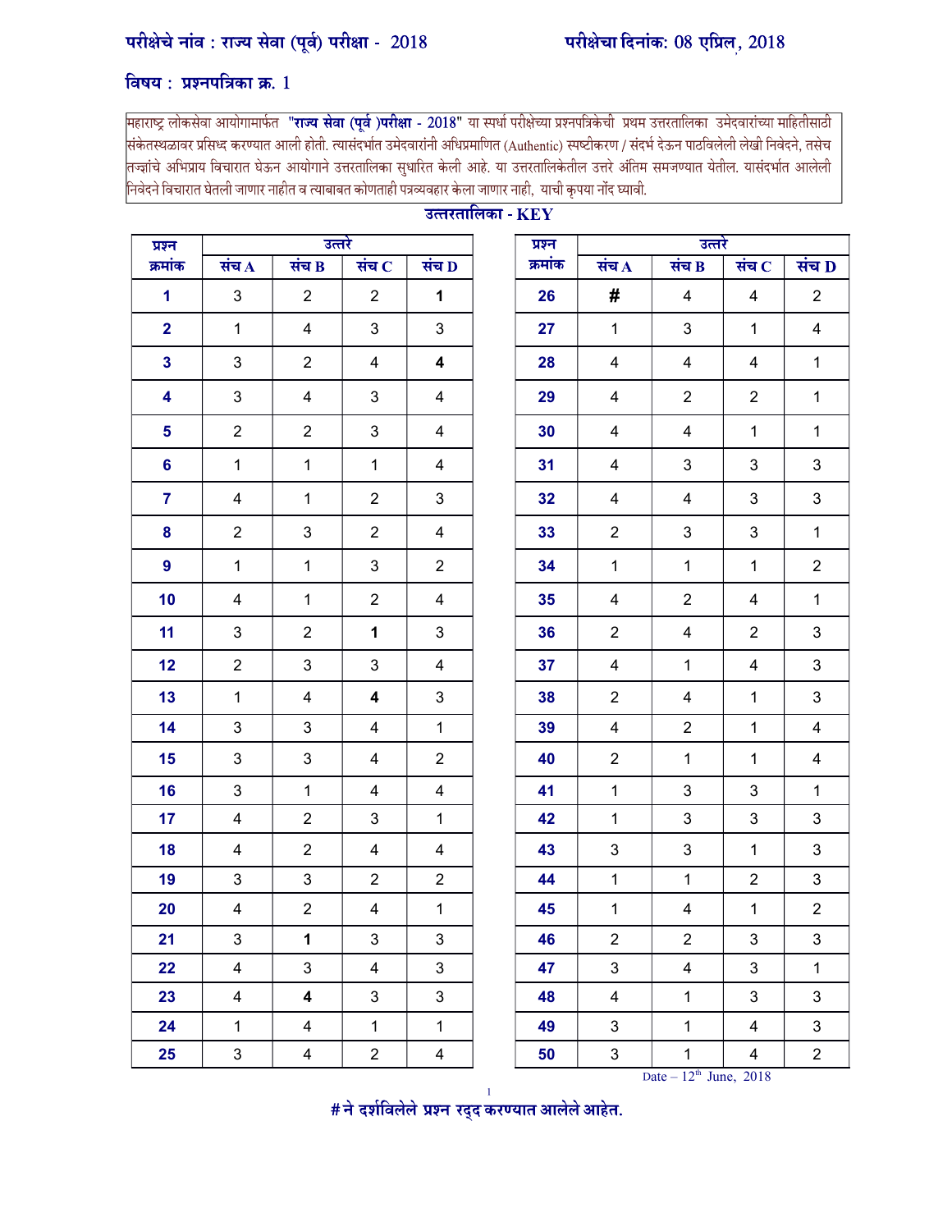## विषय: प्रश्नपत्रिका क्र.

महाराष्ट्र लोकसेवा आयोगामार्फत **"राज्य सेवा (पूर्व )परीक्षा - 2018"** या स्पर्धा परीक्षेच्या प्रश्नपत्रिकेची प्रथम उत्तरतालिका उमेदवारांच्या माहितीसाठी .<br>संकेतस्थळावर प्रसिध्द करण्यात आली होती. त्यासंदर्भात उमेदवारांनी अधिप्रमाणित (Authentic) स्पष्टीकरण / संदर्भ देऊन पाठविलेली लेखी निवेदने, तसेच तज्ज्ञांचे अभिप्राय विचारात घेऊन आयोगाने उत्तरतालिका सुधारित केली आहे. या उत्तरतालिकेतील उत्तरे अंतिम समजण्यात येतील. यासंदर्भात आलेली निवेदने विचारात घेतली जाणार नाहीत व त्याबाबत कोणताही पत्रव्यवहार केला जाणार नाही, याची कृपया नोंद घ्यावी.

| प्रश्न                  |                           | उत्तरे                  |                         |                         | प्रश्न  |                    | उत्तरे                  |                         |                         |
|-------------------------|---------------------------|-------------------------|-------------------------|-------------------------|---------|--------------------|-------------------------|-------------------------|-------------------------|
| क्रमांक                 | संच $\overline{A}$        | संच $B$                 | संच $C$                 | संच $\overline{D}$      | क्रमांक | संच $\overline{A}$ | संच $B$                 | संच $ C $               | संच D                   |
| $\mathbf{1}$            | 3                         | $\overline{2}$          | $\overline{2}$          | $\mathbf{1}$            | 26      | #                  | 4                       | 4                       | $\overline{2}$          |
| $\overline{\mathbf{2}}$ | $\mathbf{1}$              | $\overline{4}$          | 3                       | 3                       | 27      | $\mathbf{1}$       | 3                       | $\mathbf{1}$            | $\overline{4}$          |
| $\mathbf{3}$            | $\ensuremath{\mathsf{3}}$ | $\overline{2}$          | 4                       | $\overline{\mathbf{4}}$ | 28      | 4                  | 4                       | 4                       | $\mathbf{1}$            |
| 4                       | $\mathbf{3}$              | $\overline{4}$          | 3                       | 4                       | 29      | 4                  | $\overline{2}$          | $\overline{2}$          | $\mathbf{1}$            |
| 5                       | $\overline{2}$            | $\overline{2}$          | 3                       | 4                       | 30      | 4                  | $\overline{\mathbf{4}}$ | $\mathbf{1}$            | $\mathbf{1}$            |
| 6                       | $\mathbf{1}$              | $\mathbf{1}$            | $\mathbf{1}$            | 4                       | 31      | $\overline{4}$     | 3                       | $\mathsf 3$             | 3                       |
| $\overline{7}$          | $\overline{\mathbf{4}}$   | $\mathbf{1}$            | $\overline{2}$          | 3                       | 32      | 4                  | $\overline{\mathbf{4}}$ | $\mathsf 3$             | $\mathbf{3}$            |
| 8                       | $\overline{2}$            | $\mathbf{3}$            | $\overline{2}$          | $\overline{4}$          | 33      | $\overline{2}$     | 3                       | 3                       | $\mathbf{1}$            |
| $\boldsymbol{9}$        | $\mathbf{1}$              | $\mathbf{1}$            | 3                       | $\overline{2}$          | 34      | $\mathbf{1}$       | $\mathbf 1$             | $\mathbf 1$             | $\overline{2}$          |
| 10                      | $\overline{\mathbf{4}}$   | $\mathbf{1}$            | $\overline{2}$          | 4                       | 35      | 4                  | $\overline{2}$          | 4                       | $\mathbf{1}$            |
| 11                      | $\mathbf{3}$              | $\overline{2}$          | 1                       | 3                       | 36      | $\overline{2}$     | 4                       | $\overline{2}$          | 3                       |
| 12                      | $\overline{2}$            | 3                       | 3                       | $\overline{4}$          | 37      | $\overline{4}$     | $\mathbf{1}$            | $\overline{\mathbf{4}}$ | $\mathbf{3}$            |
| 13                      | $\mathbf{1}$              | 4                       | 4                       | $\mathbf{3}$            | 38      | $\overline{2}$     | 4                       | $\mathbf{1}$            | $\mathbf{3}$            |
| 14                      | 3                         | $\mathbf{3}$            | 4                       | $\mathbf{1}$            | 39      | 4                  | $\overline{2}$          | $\mathbf 1$             | $\overline{\mathbf{4}}$ |
| 15                      | $\sqrt{3}$                | 3                       | $\overline{\mathbf{4}}$ | $\overline{2}$          | 40      | $\overline{2}$     | $\mathbf 1$             | $\mathbf{1}$            | $\overline{\mathbf{4}}$ |
| 16                      | 3                         | $\mathbf{1}$            | 4                       | 4                       | 41      | $\mathbf{1}$       | $\mathbf{3}$            | 3                       | $\mathbf{1}$            |
| 17                      | $\overline{\mathbf{4}}$   | $\overline{2}$          | 3                       | $\mathbf{1}$            | 42      | $\mathbf{1}$       | $\mathbf{3}$            | 3                       | $\mathfrak{S}$          |
| 18                      | $\overline{\mathbf{4}}$   | $\overline{2}$          | 4                       | 4                       | 43      | 3                  | $\mathbf{3}$            | $\mathbf{1}$            | $\mathfrak{S}$          |
| 19                      | $\mathfrak{S}$            | $\mathfrak{S}$          | $\overline{2}$          | $\overline{2}$          | 44      | $\mathbf{1}$       | $\mathbf{1}$            | $\overline{2}$          | 3                       |
| 20                      | $\overline{\mathbf{4}}$   | $\overline{2}$          | 4                       | $\mathbf{1}$            | 45      | $\mathbf{1}$       | 4                       | $\mathbf{1}$            | $\overline{2}$          |
| 21                      | 3                         | 1                       | 3                       | 3                       | 46      | 2                  | 2                       | 3                       | 3                       |
| 22                      | $\overline{4}$            | $\mathbf{3}$            | $\overline{\mathbf{4}}$ | $\mathbf{3}$            | 47      | 3                  | $\overline{4}$          | $\mathfrak{S}$          | $\mathbf{1}$            |
| 23                      | $\overline{\mathbf{4}}$   | $\overline{\mathbf{4}}$ | $\mathfrak{S}$          | $\mathfrak{S}$          | 48      | 4                  | $\mathbf{1}$            | 3                       | $\mathbf{3}$            |
| 24                      | $\mathbf{1}$              | $\overline{\mathbf{4}}$ | $\mathbf{1}$            | $\mathbf{1}$            | 49      | 3                  | $\mathbf{1}$            | 4                       | $\mathbf{3}$            |
| 25                      | $\mathbf{3}$              | $\overline{\mathbf{4}}$ | $\overline{2}$          | $\overline{\mathbf{4}}$ | 50      | 3                  | $\mathbf{1}$            | 4                       | $\boldsymbol{2}$        |
|                         |                           |                         |                         |                         |         |                    |                         |                         |                         |

## उत्तरतालिका - $\mathbf{KEY}$

| प्रश्न                  | उत्तरे                    |                         |                         | प्रश्न                  | उत्तरे  |  |                           |                            |                         |                         |
|-------------------------|---------------------------|-------------------------|-------------------------|-------------------------|---------|--|---------------------------|----------------------------|-------------------------|-------------------------|
| क्रमांक                 | संच $\Lambda$             | संच B                   | संच $C$                 | संच $\overline{D}$      | क्रमांक |  | संच $\overline{A}$        | संच $B$                    | संच $C$                 | संच D                   |
| $\overline{1}$          | $\mathfrak{S}$            | $\overline{2}$          | $\overline{2}$          | $\mathbf 1$             | 26      |  | #                         | 4                          | 4                       | $\overline{2}$          |
| $\overline{\mathbf{2}}$ | $\mathbf{1}$              | 4                       | 3                       | $\mathfrak{S}$          | 27      |  | $\mathbf{1}$              | $\mathfrak{S}$             | $\mathbf{1}$            | $\overline{\mathbf{4}}$ |
| $\mathbf{3}$            | $\mathfrak{S}$            | $\overline{2}$          | 4                       | $\overline{\mathbf{4}}$ | 28      |  | 4                         | 4                          | 4                       | $\mathbf{1}$            |
| 4                       | $\ensuremath{\mathsf{3}}$ | 4                       | 3                       | 4                       | 29      |  | 4                         | $\overline{2}$             | $\overline{2}$          | $\mathbf{1}$            |
| 5                       | $\overline{2}$            | $\overline{2}$          | 3                       | 4                       | 30      |  | 4                         | $\overline{\mathbf{4}}$    | $\mathbf{1}$            | $\mathbf{1}$            |
| $6\phantom{a}$          | $\mathbf{1}$              | $\mathbf{1}$            | $\mathbf 1$             | 4                       | 31      |  | 4                         | 3                          | 3                       | $\sqrt{3}$              |
| $\overline{7}$          | 4                         | $\mathbf{1}$            | $\overline{2}$          | 3                       | 32      |  | 4                         | 4                          | 3                       | $\mathfrak{S}$          |
| 8                       | $\overline{2}$            | 3                       | $\overline{2}$          | $\overline{4}$          | 33      |  | $\overline{2}$            | 3                          | 3                       | $\mathbf{1}$            |
| $\boldsymbol{9}$        | $\mathbf{1}$              | $\mathbf{1}$            | 3                       | $\overline{2}$          | 34      |  | $\mathbf{1}$              | $\mathbf{1}$               | $\mathbf 1$             | $\overline{2}$          |
| 10                      | $\overline{\mathbf{4}}$   | $\mathbf{1}$            | $\overline{2}$          | $\overline{4}$          | 35      |  | 4                         | $\overline{2}$             | 4                       | $\mathbf{1}$            |
| 11                      | 3                         | $\overline{2}$          | 1                       | 3                       | 36      |  | $\overline{2}$            | 4                          | $\overline{2}$          | $\mathbf{3}$            |
| 12                      | $\overline{2}$            | 3                       | 3                       | $\overline{4}$          | 37      |  | $\overline{4}$            | $\mathbf{1}$               | $\overline{\mathbf{4}}$ | $\mathbf{3}$            |
| 13                      | $\mathbf{1}$              | 4                       | 4                       | 3                       | 38      |  | $\overline{2}$            | $\overline{\mathbf{4}}$    | $\mathbf{1}$            | $\mathfrak{S}$          |
| 14                      | $\ensuremath{\mathsf{3}}$ | 3                       | $\overline{4}$          | $\mathbf{1}$            | 39      |  | $\overline{\mathbf{4}}$   | $\overline{2}$             | $\mathbf 1$             | $\overline{\mathbf{4}}$ |
| 15                      | $\mathfrak{S}$            | 3                       | 4                       | $\overline{2}$          | 40      |  | $\sqrt{2}$                | $\mathbf{1}$               | $\mathbf{1}$            | $\overline{\mathbf{4}}$ |
| 16                      | $\mathfrak{S}$            | $\mathbf{1}$            | 4                       | $\overline{\mathbf{4}}$ | 41      |  | $\mathbf{1}$              | $\mathfrak{S}$             | 3                       | $\mathbf{1}$            |
| 17                      | 4                         | $\overline{2}$          | 3                       | $\mathbf 1$             | 42      |  | $\mathbf{1}$              | $\mathfrak{S}$             | 3                       | $\mathbf{3}$            |
| 18                      | $\overline{\mathbf{4}}$   | $\overline{2}$          | 4                       | $\overline{4}$          | 43      |  | $\ensuremath{\mathsf{3}}$ | $\mathfrak{S}$             | $\mathbf 1$             | $\mathfrak{S}$          |
| 19                      | $\mathbf{3}$              | 3                       | $\overline{2}$          | $\overline{2}$          | 44      |  | $\mathbf{1}$              | $\mathbf 1$                | $\overline{2}$          | $\mathbf{3}$            |
| 20                      | $\overline{4}$            | $\overline{2}$          | 4                       | $\mathbf{1}$            | 45      |  | $\mathbf{1}$              | 4                          | $\mathbf{1}$            | $\overline{2}$          |
| 21                      | 3                         | 1                       | 3                       | 3                       | 46      |  | $\overline{c}$            | $\overline{c}$             | 3                       | 3                       |
| 22                      | $\overline{\mathbf{4}}$   | 3                       | $\overline{\mathbf{4}}$ | 3                       | 47      |  | $\mathsf 3$               | $\overline{\mathbf{4}}$    | $\mathfrak{S}$          | $\mathbf{1}$            |
| 23                      | $\overline{\mathbf{4}}$   | $\overline{\mathbf{4}}$ | $\mathfrak{S}$          | 3                       | 48      |  | $\overline{\mathbf{4}}$   | $\mathbf{1}$               | $\mathfrak{S}$          | $\mathbf{3}$            |
| 24                      | $\mathbf{1}$              | $\overline{\mathbf{4}}$ | $\mathbf{1}$            | $\mathbf{1}$            | 49      |  | $\mathbf{3}$              | $\mathbf{1}$               | $\overline{\mathbf{4}}$ | $\mathsf 3$             |
| 25                      | $\ensuremath{\mathsf{3}}$ | $\overline{\mathbf{4}}$ | $\overline{c}$          | $\overline{\mathbf{4}}$ | 50      |  | $\mathbf{3}$              | $\mathbf{1}$               | $\overline{4}$          | $\overline{2}$          |
|                         |                           |                         |                         |                         |         |  |                           | Date $-12^{th}$ June, 2018 |                         |                         |

 $\#$ ने दर्शविलेले प्रश्न रद्द करण्यात आलेले आहेत.